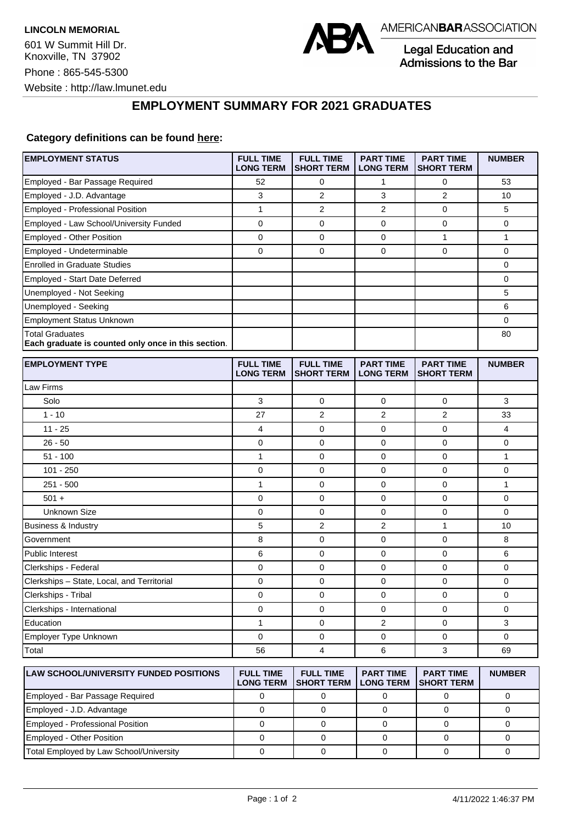

Legal Education and Admissions to the Bar

## **EMPLOYMENT SUMMARY FOR 2021 GRADUATES**

## **Category definitions can be found [here:](https://www.americanbar.org/content/dam/aba/administrative/legal_education_and_admissions_to_the_bar/Questionnaires/2021/2022-employment-protocols-for-the-class-of-2021-september-2021.pdf)**

| <b>EMPLOYMENT STATUS</b>                                                      | <b>FULL TIME</b><br><b>LONG TERM</b> | <b>FULL TIME</b><br><b>SHORT TERM</b> | <b>PART TIME</b><br><b>LONG TERM</b> | <b>PART TIME</b><br><b>SHORT TERM</b> | <b>NUMBER</b> |
|-------------------------------------------------------------------------------|--------------------------------------|---------------------------------------|--------------------------------------|---------------------------------------|---------------|
| Employed - Bar Passage Required                                               | 52                                   | 0                                     | 1                                    | 0                                     | 53            |
| Employed - J.D. Advantage                                                     | 3                                    | 2                                     | 3                                    | $\overline{2}$                        | 10            |
| Employed - Professional Position                                              | $\mathbf{1}$                         | $\overline{2}$                        | $\overline{2}$                       | 0                                     | 5             |
| Employed - Law School/University Funded                                       | 0                                    | 0                                     | 0                                    | 0                                     | 0             |
| Employed - Other Position                                                     | 0                                    | $\mathbf 0$                           | 0                                    | $\mathbf{1}$                          | $\mathbf{1}$  |
| Employed - Undeterminable                                                     | 0                                    | 0                                     | 0                                    | $\mathbf 0$                           | 0             |
| <b>Enrolled in Graduate Studies</b>                                           |                                      |                                       |                                      |                                       | 0             |
| Employed - Start Date Deferred                                                |                                      |                                       |                                      |                                       | 0             |
| Unemployed - Not Seeking                                                      |                                      |                                       |                                      |                                       | 5             |
| Unemployed - Seeking                                                          |                                      |                                       |                                      |                                       | 6             |
| <b>Employment Status Unknown</b>                                              |                                      |                                       |                                      |                                       | 0             |
| <b>Total Graduates</b><br>Each graduate is counted only once in this section. |                                      |                                       |                                      |                                       | 80            |
| <b>EMPLOYMENT TYPE</b>                                                        | <b>FULL TIME</b><br><b>LONG TERM</b> | <b>FULL TIME</b><br><b>SHORT TERM</b> | <b>PART TIME</b><br><b>LONG TERM</b> | <b>PART TIME</b><br><b>SHORT TERM</b> | <b>NUMBER</b> |
| Law Firms                                                                     |                                      |                                       |                                      |                                       |               |
| Solo                                                                          | 3                                    | 0                                     | 0                                    | 0                                     | 3             |
| $1 - 10$                                                                      | 27                                   | 2                                     | 2                                    | 2                                     | 33            |
| $11 - 25$                                                                     | 4                                    | 0                                     | 0                                    | 0                                     | 4             |
| $26 - 50$                                                                     | 0                                    | $\mathbf 0$                           | 0                                    | $\mathbf 0$                           | 0             |
| $51 - 100$                                                                    | 1                                    | $\mathbf 0$                           | 0                                    | $\mathbf 0$                           | $\mathbf{1}$  |
| $101 - 250$                                                                   | 0                                    | 0                                     | 0                                    | 0                                     | 0             |
| $251 - 500$                                                                   | 1                                    | 0                                     | 0                                    | 0                                     | $\mathbf{1}$  |
| $501 +$                                                                       | 0                                    | 0                                     | 0                                    | 0                                     | 0             |
| Unknown Size                                                                  | 0                                    | $\mathbf 0$                           | 0                                    | $\mathbf 0$                           | 0             |
| <b>Business &amp; Industry</b>                                                | 5                                    | 2                                     | 2                                    | 1                                     | 10            |
| Government                                                                    | 8                                    | 0                                     | 0                                    | 0                                     | 8             |
| <b>Public Interest</b>                                                        | 6                                    | 0                                     | 0                                    | 0                                     | 6             |
| Clerkships - Federal                                                          | 0                                    | $\mathbf 0$                           | 0                                    | $\mathbf 0$                           | 0             |
| Clerkships - State, Local, and Territorial                                    | 0                                    | 0                                     | 0                                    | $\mathbf 0$                           | 0             |
| Clerkships - Tribal                                                           | 0                                    | 0                                     | 0                                    | 0                                     | 0             |
| Clerkships - International                                                    | 0                                    | $\mathbf 0$                           | 0                                    | $\mathbf 0$                           | 0             |
| Education                                                                     | 1                                    | 0                                     | 2                                    | 0                                     | 3             |
| Employer Type Unknown                                                         | 0                                    | 0                                     | 0                                    | $\mathbf 0$                           | 0             |
| Total                                                                         | 56                                   | 4                                     | 6                                    | 3                                     | 69            |
| LAW SCHOOL/UNIVERSITY FUNDED POSITIONS                                        | <b>FULL TIME</b><br><b>LONG TERM</b> | <b>FULL TIME</b><br><b>SHORT TERM</b> | <b>PART TIME</b><br><b>LONG TERM</b> | <b>PART TIME</b><br><b>SHORT TERM</b> | <b>NUMBER</b> |
| Employed - Bar Passage Required                                               | $\mathbf 0$                          | $\mathsf 0$                           | $\pmb{0}$                            | $\mathsf 0$                           | $\pmb{0}$     |

Employed - J.D. Advantage and the control of the control of the control of the control of the control of the control of the control of the control of the control of the control of the control of the control of the control Employed - Professional Position 0 0 0 0 0 Employed - Other Position 0 0 0 0 0 Total Employed by Law School/University 0 0 0 0 0